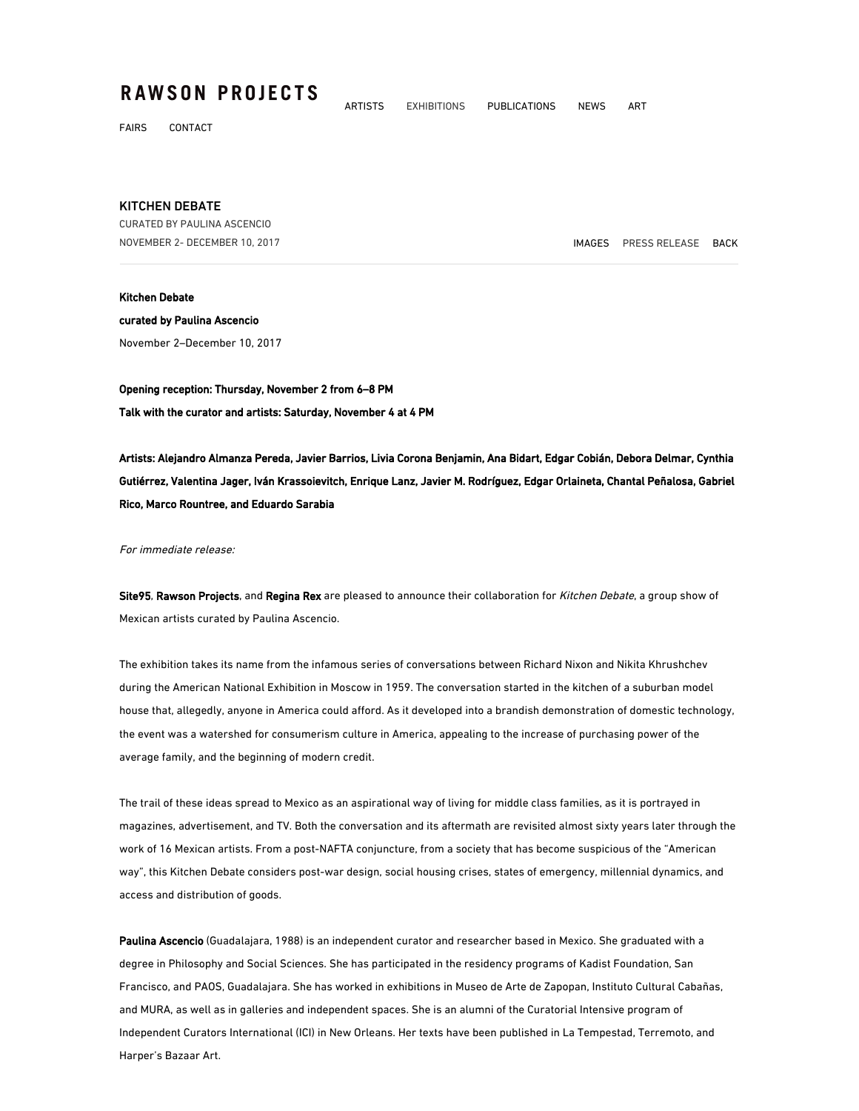## **RAWSON PROJECTS**

FAIRS CONTACT

## KITCHEN DEBATE

CURATED BY PAULINA ASCENCIO NOVEMBER 2- DECEMBER 10, 2017 IMAGES PRESS RELEASE BACK

## Kitchen Debate

curated by Paulina Ascencio November 2–December 10, 2017

Opening reception: Thursday, November 2 from 6–8 PM Talk with the curator and artists: Saturday, November 4 at 4 PM

Artists: Alejandro Almanza Pereda, Javier Barrios, Livia Corona Benjamin, Ana Bidart, Edgar Cobián, Debora Delmar, Cynthia Gutiérrez, Valentina Jager, Iván Krassoievitch, Enrique Lanz, Javier M. Rodríguez, Edgar Orlaineta, Chantal Peñalosa, Gabriel Rico, Marco Rountree, and Eduardo Sarabia

ARTISTS EXHIBITIONS PUBLICATIONS NEWS ART

For immediate release:

Site95, Rawson Projects, and Regina Rex are pleased to announce their collaboration for Kitchen Debate, a group show of Mexican artists curated by Paulina Ascencio.

The exhibition takes its name from the infamous series of conversations between Richard Nixon and Nikita Khrushchev during the American National Exhibition in Moscow in 1959. The conversation started in the kitchen of a suburban model house that, allegedly, anyone in America could afford. As it developed into a brandish demonstration of domestic technology, the event was a watershed for consumerism culture in America, appealing to the increase of purchasing power of the average family, and the beginning of modern credit.

The trail of these ideas spread to Mexico as an aspirational way of living for middle class families, as it is portrayed in magazines, advertisement, and TV. Both the conversation and its aftermath are revisited almost sixty years later through the work of 16 Mexican artists. From a post-NAFTA conjuncture, from a society that has become suspicious of the "American way", this Kitchen Debate considers post-war design, social housing crises, states of emergency, millennial dynamics, and access and distribution of goods.

Paulina Ascencio (Guadalajara, 1988) is an independent curator and researcher based in Mexico. She graduated with a degree in Philosophy and Social Sciences. She has participated in the residency programs of Kadist Foundation, San Francisco, and PAOS, Guadalajara. She has worked in exhibitions in Museo de Arte de Zapopan, Instituto Cultural Cabañas, and MURA, as well as in galleries and independent spaces. She is an alumni of the Curatorial Intensive program of Independent Curators International (ICI) in New Orleans. Her texts have been published in La Tempestad, Terremoto, and Harper's Bazaar Art.